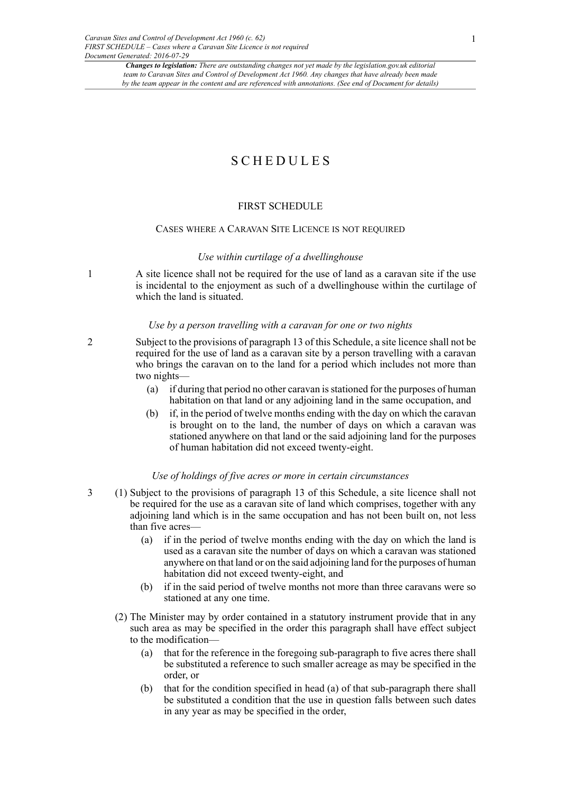# SCHEDULES

# FIRST SCHEDULE

#### CASES WHERE A CARAVAN SITE LICENCE IS NOT REQUIRED

#### *Use within curtilage of a dwellinghouse*

1 A site licence shall not be required for the use of land as a caravan site if the use is incidental to the enjoyment as such of a dwellinghouse within the curtilage of which the land is situated.

#### *Use by a person travelling with a caravan for one or two nights*

- 2 Subject to the provisions of paragraph 13 of this Schedule, a site licence shall not be required for the use of land as a caravan site by a person travelling with a caravan who brings the caravan on to the land for a period which includes not more than two nights—
	- (a) if during that period no other caravan is stationed for the purposes of human habitation on that land or any adjoining land in the same occupation, and
	- (b) if, in the period of twelve months ending with the day on which the caravan is brought on to the land, the number of days on which a caravan was stationed anywhere on that land or the said adjoining land for the purposes of human habitation did not exceed twenty-eight.

#### *Use of holdings of five acres or more in certain circumstances*

- 3 (1) Subject to the provisions of paragraph 13 of this Schedule, a site licence shall not be required for the use as a caravan site of land which comprises, together with any adjoining land which is in the same occupation and has not been built on, not less than five acres—
	- (a) if in the period of twelve months ending with the day on which the land is used as a caravan site the number of days on which a caravan was stationed anywhere on that land or on the said adjoining land for the purposes of human habitation did not exceed twenty-eight, and
	- (b) if in the said period of twelve months not more than three caravans were so stationed at any one time.
	- (2) The Minister may by order contained in a statutory instrument provide that in any such area as may be specified in the order this paragraph shall have effect subject to the modification—
		- (a) that for the reference in the foregoing sub-paragraph to five acres there shall be substituted a reference to such smaller acreage as may be specified in the order, or
		- (b) that for the condition specified in head (a) of that sub-paragraph there shall be substituted a condition that the use in question falls between such dates in any year as may be specified in the order,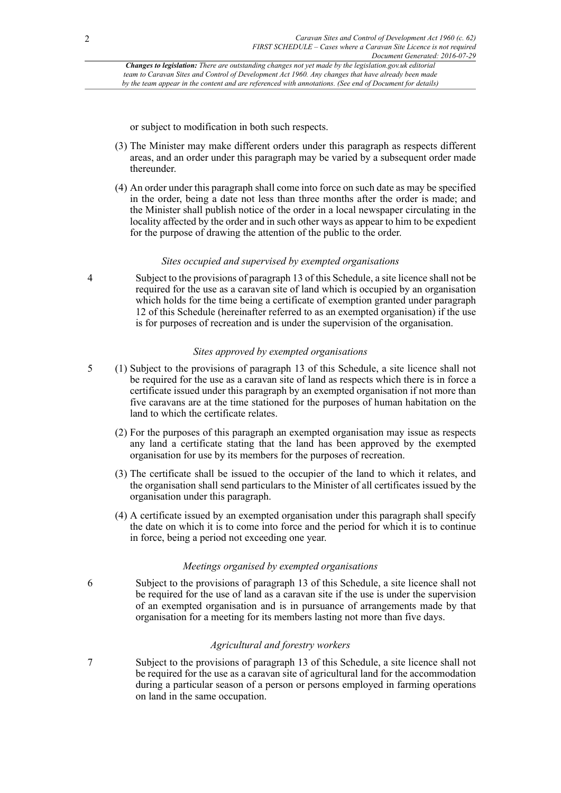or subject to modification in both such respects.

- (3) The Minister may make different orders under this paragraph as respects different areas, and an order under this paragraph may be varied by a subsequent order made thereunder.
- (4) An order under this paragraph shall come into force on such date as may be specified in the order, being a date not less than three months after the order is made; and the Minister shall publish notice of the order in a local newspaper circulating in the locality affected by the order and in such other ways as appear to him to be expedient for the purpose of drawing the attention of the public to the order.

# *Sites occupied and supervised by exempted organisations*

4 Subject to the provisions of paragraph 13 of this Schedule, a site licence shall not be required for the use as a caravan site of land which is occupied by an organisation which holds for the time being a certificate of exemption granted under paragraph 12 of this Schedule (hereinafter referred to as an exempted organisation) if the use is for purposes of recreation and is under the supervision of the organisation.

# *Sites approved by exempted organisations*

- 5 (1) Subject to the provisions of paragraph 13 of this Schedule, a site licence shall not be required for the use as a caravan site of land as respects which there is in force a certificate issued under this paragraph by an exempted organisation if not more than five caravans are at the time stationed for the purposes of human habitation on the land to which the certificate relates.
	- (2) For the purposes of this paragraph an exempted organisation may issue as respects any land a certificate stating that the land has been approved by the exempted organisation for use by its members for the purposes of recreation.
	- (3) The certificate shall be issued to the occupier of the land to which it relates, and the organisation shall send particulars to the Minister of all certificates issued by the organisation under this paragraph.
	- (4) A certificate issued by an exempted organisation under this paragraph shall specify the date on which it is to come into force and the period for which it is to continue in force, being a period not exceeding one year.

# *Meetings organised by exempted organisations*

6 Subject to the provisions of paragraph 13 of this Schedule, a site licence shall not be required for the use of land as a caravan site if the use is under the supervision of an exempted organisation and is in pursuance of arrangements made by that organisation for a meeting for its members lasting not more than five days.

# *Agricultural and forestry workers*

7 Subject to the provisions of paragraph 13 of this Schedule, a site licence shall not be required for the use as a caravan site of agricultural land for the accommodation during a particular season of a person or persons employed in farming operations on land in the same occupation.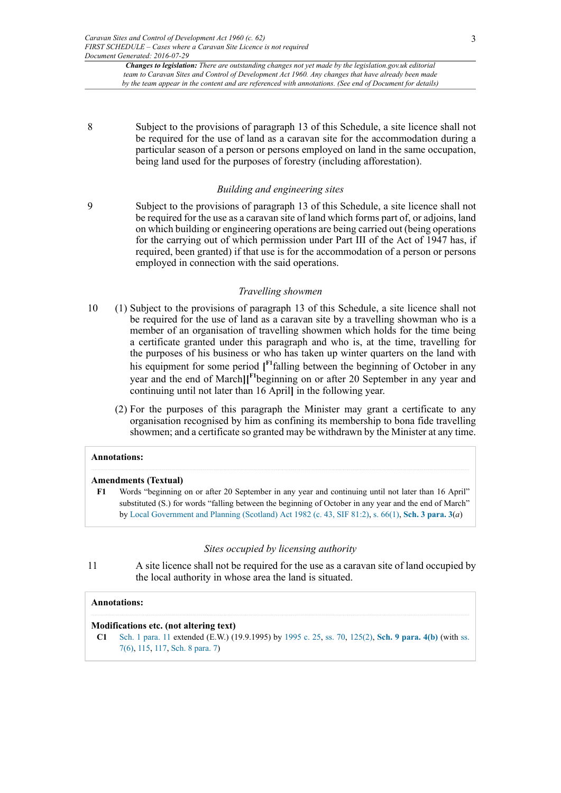8 Subject to the provisions of paragraph 13 of this Schedule, a site licence shall not be required for the use of land as a caravan site for the accommodation during a particular season of a person or persons employed on land in the same occupation, being land used for the purposes of forestry (including afforestation).

### *Building and engineering sites*

9 Subject to the provisions of paragraph 13 of this Schedule, a site licence shall not be required for the use as a caravan site of land which forms part of, or adjoins, land on which building or engineering operations are being carried out (being operations for the carrying out of which permission under Part III of the Act of 1947 has, if required, been granted) if that use is for the accommodation of a person or persons employed in connection with the said operations.

#### <span id="page-2-1"></span>*Travelling showmen*

- 10 (1) Subject to the provisions of paragraph 13 of this Schedule, a site licence shall not be required for the use of land as a caravan site by a travelling showman who is a member of an organisation of travelling showmen which holds for the time being a certificate granted under this paragraph and who is, at the time, travelling for the purposes of his business or who has taken up winter quarters on the land with his equipment for some period **[ [F1](#page-2-0)**falling between the beginning of October in any year and the end of March**][ [F1](#page-2-0)**beginning on or after 20 September in any year and continuing until not later than 16 April**]** in the following year.
	- (2) For the purposes of this paragraph the Minister may grant a certificate to any organisation recognised by him as confining its membership to bona fide travelling showmen; and a certificate so granted may be withdrawn by the Minister at any time.

# **Annotations:**

#### **Amendments (Textual)**

<span id="page-2-0"></span>**[F1](#page-2-1)** Words "beginning on or after 20 September in any year and continuing until not later than 16 April" substituted (S.) for words "falling between the beginning of October in any year and the end of March" by [Local Government and Planning \(Scotland\) Act 1982 \(c. 43, SIF 81:2\),](http://www.legislation.gov.uk/id/ukpga/1982/43) [s. 66\(1\),](http://www.legislation.gov.uk/id/ukpga/1982/43/section/66/1) **[Sch. 3 para. 3](http://www.legislation.gov.uk/id/ukpga/1982/43/schedule/3/paragraph/3)**(*a*)

#### *Sites occupied by licensing authority*

11 A site licence shall not be required for the use as a caravan site of land occupied by the local authority in whose area the land is situated.

### **Annotations:**

### **Modifications etc. (not altering text)**

**C1** [Sch. 1 para. 11](http://www.legislation.gov.uk/id/ukpga/Eliz2/8-9/62/schedule/1/paragraph/11) extended (E.W.) (19.9.1995) by [1995 c. 25,](http://www.legislation.gov.uk/id/ukpga/1995/25) [ss. 70](http://www.legislation.gov.uk/id/ukpga/1995/25/section/70), [125\(2\)](http://www.legislation.gov.uk/id/ukpga/1995/25/section/125/2), **[Sch. 9 para. 4\(b\)](http://www.legislation.gov.uk/id/ukpga/1995/25/schedule/9/paragraph/4/b)** (with [ss.](http://www.legislation.gov.uk/id/ukpga/1995/25/section/7/6) [7\(6\),](http://www.legislation.gov.uk/id/ukpga/1995/25/section/7/6) [115](http://www.legislation.gov.uk/id/ukpga/1995/25/section/115), [117](http://www.legislation.gov.uk/id/ukpga/1995/25/section/117), [Sch. 8 para. 7\)](http://www.legislation.gov.uk/id/ukpga/1995/25/schedule/8/paragraph/7)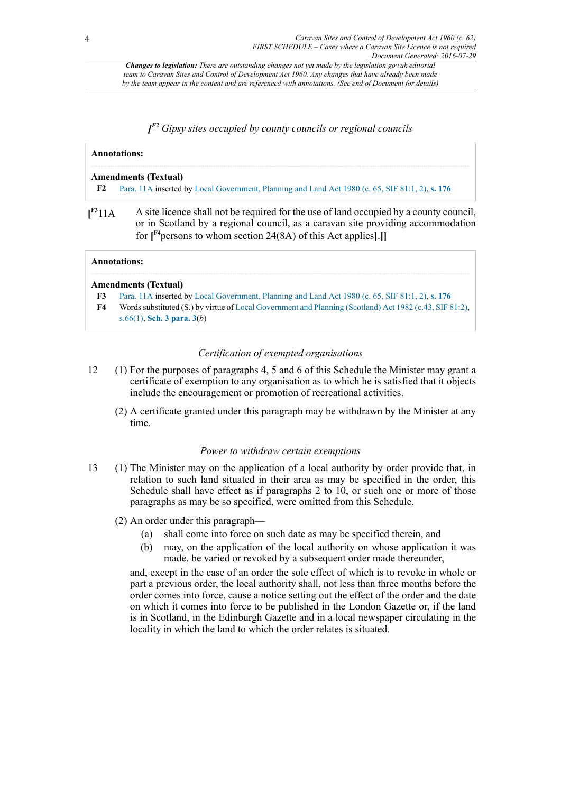# <span id="page-3-1"></span>*[ [F2](#page-3-0) Gipsy sites occupied by county councils or regional councils*

<span id="page-3-4"></span><span id="page-3-0"></span>

| <b>Annotations:</b><br><b>Amendments (Textual)</b> |                                                                                                 |                                    |                                                                                                                                                                                                                                                            |
|----------------------------------------------------|-------------------------------------------------------------------------------------------------|------------------------------------|------------------------------------------------------------------------------------------------------------------------------------------------------------------------------------------------------------------------------------------------------------|
|                                                    |                                                                                                 | F2                                 | Para. 11A inserted by Local Government, Planning and Land Act 1980 (c. 65, SIF 81:1, 2), s. 176                                                                                                                                                            |
|                                                    |                                                                                                 | $\mathbf{I}^{\text{F3}}11\text{A}$ | A site licence shall not be required for the use of land occupied by a county council.<br>or in Scotland by a regional council, as a caravan site providing accommodation<br>for $\int^{\mathbb{F}^4}$ persons to whom section 24(8A) of this Act applies. |
| <b>Annotations:</b>                                |                                                                                                 |                                    |                                                                                                                                                                                                                                                            |
|                                                    | <b>Amendments (Textual)</b>                                                                     |                                    |                                                                                                                                                                                                                                                            |
| F3                                                 | Para. 11A inserted by Local Government, Planning and Land Act 1980 (c. 65, SIF 81:1, 2), s. 176 |                                    |                                                                                                                                                                                                                                                            |

<span id="page-3-5"></span><span id="page-3-3"></span><span id="page-3-2"></span>**[F4](#page-3-5)** Words substituted (S.) by virtue of [Local Government and Planning \(Scotland\) Act 1982 \(c.43, SIF 81:2\)](http://www.legislation.gov.uk/id/ukpga/1982/43), [s.66\(1\),](http://www.legislation.gov.uk/id/ukpga/1982/43/section/66/1) **[Sch. 3 para. 3](http://www.legislation.gov.uk/id/ukpga/1982/43/schedule/3/paragraph/3)**(*b*)

# *Certification of exempted organisations*

- 12 (1) For the purposes of paragraphs 4, 5 and 6 of this Schedule the Minister may grant a certificate of exemption to any organisation as to which he is satisfied that it objects include the encouragement or promotion of recreational activities.
	- (2) A certificate granted under this paragraph may be withdrawn by the Minister at any time.

# *Power to withdraw certain exemptions*

- 13 (1) The Minister may on the application of a local authority by order provide that, in relation to such land situated in their area as may be specified in the order, this Schedule shall have effect as if paragraphs 2 to 10, or such one or more of those paragraphs as may be so specified, were omitted from this Schedule.
	- (2) An order under this paragraph—
		- (a) shall come into force on such date as may be specified therein, and
		- (b) may, on the application of the local authority on whose application it was made, be varied or revoked by a subsequent order made thereunder,

and, except in the case of an order the sole effect of which is to revoke in whole or part a previous order, the local authority shall, not less than three months before the order comes into force, cause a notice setting out the effect of the order and the date on which it comes into force to be published in the London Gazette or, if the land is in Scotland, in the Edinburgh Gazette and in a local newspaper circulating in the locality in which the land to which the order relates is situated.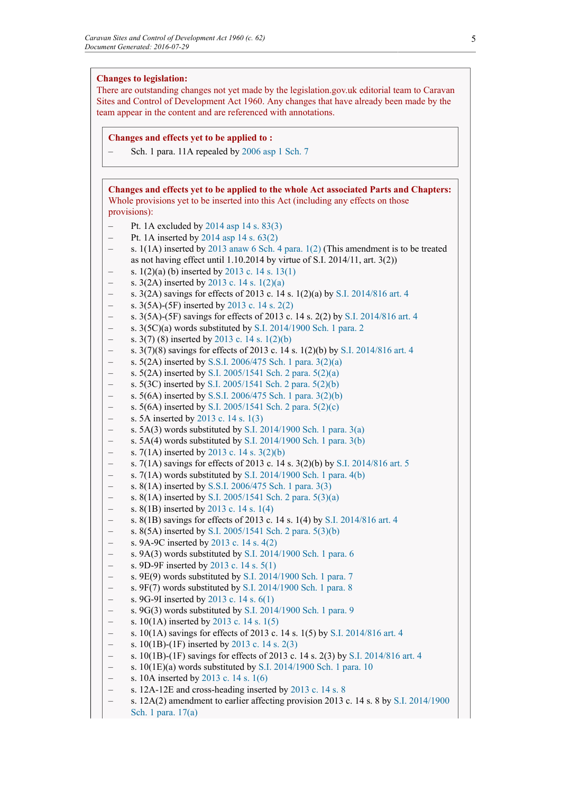# **Changes to legislation:**

There are outstanding changes not yet made by the legislation.gov.uk editorial team to Caravan Sites and Control of Development Act 1960. Any changes that have already been made by the team appear in the content and are referenced with annotations.

#### **Changes and effects yet to be applied to :**

– Sch. 1 para. 11A repealed by [2006 asp 1](http://www.legislation.gov.uk/id/asp/2006/1) [Sch. 7](http://www.legislation.gov.uk/id/asp/2006/1/schedule/7)

**Changes and effects yet to be applied to the whole Act associated Parts and Chapters:** Whole provisions yet to be inserted into this Act (including any effects on those provisions):

- Pt. 1A excluded by [2014 asp 14](http://www.legislation.gov.uk/id/asp/2014/14) [s. 83\(3\)](http://www.legislation.gov.uk/id/asp/2014/14/section/83/3)
- Pt. 1A inserted by [2014 asp 14](http://www.legislation.gov.uk/id/asp/2014/14) [s. 63\(2\)](http://www.legislation.gov.uk/id/asp/2014/14/section/63/2)
- s.  $1(1A)$  inserted by [2013 anaw 6](http://www.legislation.gov.uk/id/anaw/2013/6) [Sch. 4](http://www.legislation.gov.uk/id/anaw/2013/6/schedule/4) para.  $1(2)$  (This amendment is to be treated as not having effect until  $1.10.2014$  by virtue of S.I. 2014/11, art. 3(2))
- s. 1(2)(a) (b) inserted by [2013 c. 14](http://www.legislation.gov.uk/id/ukpga/2013/14) [s. 13\(1\)](http://www.legislation.gov.uk/id/ukpga/2013/14/section/13/1)
- s. 3(2A) inserted by [2013 c. 14](http://www.legislation.gov.uk/id/ukpga/2013/14) [s. 1\(2\)\(a\)](http://www.legislation.gov.uk/id/ukpga/2013/14/section/1/2/a)
- s. 3(2A) savings for effects of 2013 c. 14 s. 1(2)(a) by [S.I. 2014/816](http://www.legislation.gov.uk/id/uksi/2014/816) [art. 4](http://www.legislation.gov.uk/id/uksi/2014/816/article/4)
- s. 3(5A)-(5F) inserted by [2013 c. 14](http://www.legislation.gov.uk/id/ukpga/2013/14) [s. 2\(2\)](http://www.legislation.gov.uk/id/ukpga/2013/14/section/2/2)
- s. 3(5A)-(5F) savings for effects of 2013 c. 14 s. 2(2) by [S.I. 2014/816](http://www.legislation.gov.uk/id/uksi/2014/816) [art. 4](http://www.legislation.gov.uk/id/uksi/2014/816/article/4)
- s. 3(5C)(a) words substituted by [S.I. 2014/1900](http://www.legislation.gov.uk/id/uksi/2014/1900) [Sch. 1](http://www.legislation.gov.uk/id/uksi/2014/1900/schedule/1) [para. 2](http://www.legislation.gov.uk/id/uksi/2014/1900/schedule/1/paragraph/2)
- s. 3(7) (8) inserted by [2013 c. 14](http://www.legislation.gov.uk/id/ukpga/2013/14) [s. 1\(2\)\(b\)](http://www.legislation.gov.uk/id/ukpga/2013/14/section/1/2/b)
- s. 3(7)(8) savings for effects of 2013 c. 14 s. 1(2)(b) by [S.I. 2014/816](http://www.legislation.gov.uk/id/uksi/2014/816) [art. 4](http://www.legislation.gov.uk/id/uksi/2014/816/article/4)
- s. 5(2A) inserted by [S.S.I. 2006/475](http://www.legislation.gov.uk/id/ssi/2006/475) [Sch. 1](http://www.legislation.gov.uk/id/ssi/2006/475/schedule/1) [para. 3\(2\)\(a\)](http://www.legislation.gov.uk/id/ssi/2006/475/schedule/1/paragraph/3/2/a)
- s. 5(2A) inserted by [S.I. 2005/1541](http://www.legislation.gov.uk/id/uksi/2005/1541) [Sch. 2](http://www.legislation.gov.uk/id/uksi/2005/1541/schedule/2) [para. 5\(2\)\(a\)](http://www.legislation.gov.uk/id/uksi/2005/1541/schedule/2/paragraph/5/2/a)
- s. 5(3C) inserted by [S.I. 2005/1541](http://www.legislation.gov.uk/id/uksi/2005/1541) [Sch. 2](http://www.legislation.gov.uk/id/uksi/2005/1541/schedule/2) [para. 5\(2\)\(b\)](http://www.legislation.gov.uk/id/uksi/2005/1541/schedule/2/paragraph/5/2/b)
- s. 5(6A) inserted by [S.S.I. 2006/475](http://www.legislation.gov.uk/id/ssi/2006/475) [Sch. 1](http://www.legislation.gov.uk/id/ssi/2006/475/schedule/1) [para. 3\(2\)\(b\)](http://www.legislation.gov.uk/id/ssi/2006/475/schedule/1/paragraph/3/2/b)
- s. 5(6A) inserted by [S.I. 2005/1541](http://www.legislation.gov.uk/id/uksi/2005/1541) [Sch. 2](http://www.legislation.gov.uk/id/uksi/2005/1541/schedule/2) [para. 5\(2\)\(c\)](http://www.legislation.gov.uk/id/uksi/2005/1541/schedule/2/paragraph/5/2/c)
- s. 5A inserted by [2013 c. 14](http://www.legislation.gov.uk/id/ukpga/2013/14) [s. 1\(3\)](http://www.legislation.gov.uk/id/ukpga/2013/14/section/1/3)
- s. 5A(3) words substituted by [S.I. 2014/1900](http://www.legislation.gov.uk/id/uksi/2014/1900) [Sch. 1](http://www.legislation.gov.uk/id/uksi/2014/1900/schedule/1) [para. 3\(a\)](http://www.legislation.gov.uk/id/uksi/2014/1900/schedule/1/paragraph/3/a)
- s. 5A(4) words substituted by [S.I. 2014/1900](http://www.legislation.gov.uk/id/uksi/2014/1900) [Sch. 1](http://www.legislation.gov.uk/id/uksi/2014/1900/schedule/1) [para. 3\(b\)](http://www.legislation.gov.uk/id/uksi/2014/1900/schedule/1/paragraph/3/b)
- s. 7(1A) inserted by [2013 c. 14](http://www.legislation.gov.uk/id/ukpga/2013/14) [s. 3\(2\)\(b\)](http://www.legislation.gov.uk/id/ukpga/2013/14/section/3/2/b)
- s. 7(1A) savings for effects of 2013 c. 14 s. 3(2)(b) by [S.I. 2014/816](http://www.legislation.gov.uk/id/uksi/2014/816) [art. 5](http://www.legislation.gov.uk/id/uksi/2014/816/article/5)
- s.  $7(1A)$  words substituted by [S.I. 2014/1900](http://www.legislation.gov.uk/id/uksi/2014/1900) [Sch. 1](http://www.legislation.gov.uk/id/uksi/2014/1900/schedule/1) [para. 4\(b\)](http://www.legislation.gov.uk/id/uksi/2014/1900/schedule/1/paragraph/4/b)
- s. 8(1A) inserted by [S.S.I. 2006/475](http://www.legislation.gov.uk/id/ssi/2006/475) [Sch. 1](http://www.legislation.gov.uk/id/ssi/2006/475/schedule/1) [para. 3\(3\)](http://www.legislation.gov.uk/id/ssi/2006/475/schedule/1/paragraph/3/3)
- s. 8(1A) inserted by [S.I. 2005/1541](http://www.legislation.gov.uk/id/uksi/2005/1541) [Sch. 2](http://www.legislation.gov.uk/id/uksi/2005/1541/schedule/2) [para. 5\(3\)\(a\)](http://www.legislation.gov.uk/id/uksi/2005/1541/schedule/2/paragraph/5/3/a)
- s. 8(1B) inserted by [2013 c. 14](http://www.legislation.gov.uk/id/ukpga/2013/14) [s. 1\(4\)](http://www.legislation.gov.uk/id/ukpga/2013/14/section/1/4)
- s. 8(1B) savings for effects of 2013 c. 14 s. 1(4) by [S.I. 2014/816](http://www.legislation.gov.uk/id/uksi/2014/816) [art. 4](http://www.legislation.gov.uk/id/uksi/2014/816/article/4)
- s. 8(5A) inserted by [S.I. 2005/1541](http://www.legislation.gov.uk/id/uksi/2005/1541) [Sch. 2](http://www.legislation.gov.uk/id/uksi/2005/1541/schedule/2) [para. 5\(3\)\(b\)](http://www.legislation.gov.uk/id/uksi/2005/1541/schedule/2/paragraph/5/3/b)
- s. 9A-9C inserted by [2013 c. 14](http://www.legislation.gov.uk/id/ukpga/2013/14) [s. 4\(2\)](http://www.legislation.gov.uk/id/ukpga/2013/14/section/4/2)
- s. 9A(3) words substituted by [S.I. 2014/1900](http://www.legislation.gov.uk/id/uksi/2014/1900) [Sch. 1](http://www.legislation.gov.uk/id/uksi/2014/1900/schedule/1) [para. 6](http://www.legislation.gov.uk/id/uksi/2014/1900/schedule/1/paragraph/6)
- s. 9D-9F inserted by [2013 c. 14](http://www.legislation.gov.uk/id/ukpga/2013/14) [s. 5\(1\)](http://www.legislation.gov.uk/id/ukpga/2013/14/section/5/1)
- s. 9E(9) words substituted by [S.I. 2014/1900](http://www.legislation.gov.uk/id/uksi/2014/1900) [Sch. 1](http://www.legislation.gov.uk/id/uksi/2014/1900/schedule/1) [para. 7](http://www.legislation.gov.uk/id/uksi/2014/1900/schedule/1/paragraph/7)
- s. 9F(7) words substituted by [S.I. 2014/1900](http://www.legislation.gov.uk/id/uksi/2014/1900) [Sch. 1](http://www.legislation.gov.uk/id/uksi/2014/1900/schedule/1) [para. 8](http://www.legislation.gov.uk/id/uksi/2014/1900/schedule/1/paragraph/8)
- s. 9G-9I inserted by [2013 c. 14](http://www.legislation.gov.uk/id/ukpga/2013/14) [s. 6\(1\)](http://www.legislation.gov.uk/id/ukpga/2013/14/section/6/1)
- s. 9G(3) words substituted by [S.I. 2014/1900](http://www.legislation.gov.uk/id/uksi/2014/1900) [Sch. 1](http://www.legislation.gov.uk/id/uksi/2014/1900/schedule/1) [para. 9](http://www.legislation.gov.uk/id/uksi/2014/1900/schedule/1/paragraph/9)
- s. 10(1A) inserted by [2013 c. 14](http://www.legislation.gov.uk/id/ukpga/2013/14) [s. 1\(5\)](http://www.legislation.gov.uk/id/ukpga/2013/14/section/1/5)
- s. 10(1A) savings for effects of 2013 c. 14 s. 1(5) by [S.I. 2014/816](http://www.legislation.gov.uk/id/uksi/2014/816) [art. 4](http://www.legislation.gov.uk/id/uksi/2014/816/article/4)
- s. 10(1B)-(1F) inserted by [2013 c. 14](http://www.legislation.gov.uk/id/ukpga/2013/14) [s. 2\(3\)](http://www.legislation.gov.uk/id/ukpga/2013/14/section/2/3)
- s. 10(1B)-(1F) savings for effects of 2013 c. 14 s. 2(3) by [S.I. 2014/816](http://www.legislation.gov.uk/id/uksi/2014/816) [art. 4](http://www.legislation.gov.uk/id/uksi/2014/816/article/4)
- s. 10(1E)(a) words substituted by [S.I. 2014/1900](http://www.legislation.gov.uk/id/uksi/2014/1900) [Sch. 1](http://www.legislation.gov.uk/id/uksi/2014/1900/schedule/1) [para. 10](http://www.legislation.gov.uk/id/uksi/2014/1900/schedule/1/paragraph/10)
- s. 10A inserted by [2013 c. 14](http://www.legislation.gov.uk/id/ukpga/2013/14) [s. 1\(6\)](http://www.legislation.gov.uk/id/ukpga/2013/14/section/1/6)
- s. 12A-12E and cross-heading inserted by [2013 c. 14](http://www.legislation.gov.uk/id/ukpga/2013/14) [s. 8](http://www.legislation.gov.uk/id/ukpga/2013/14/section/8)
- s. 12A(2) amendment to earlier affecting provision 2013 c. 14 s. 8 by [S.I. 2014/1900](http://www.legislation.gov.uk/id/uksi/2014/1900) [Sch. 1](http://www.legislation.gov.uk/id/uksi/2014/1900/schedule/1) [para. 17\(a\)](http://www.legislation.gov.uk/id/uksi/2014/1900/schedule/1/paragraph/17/a)